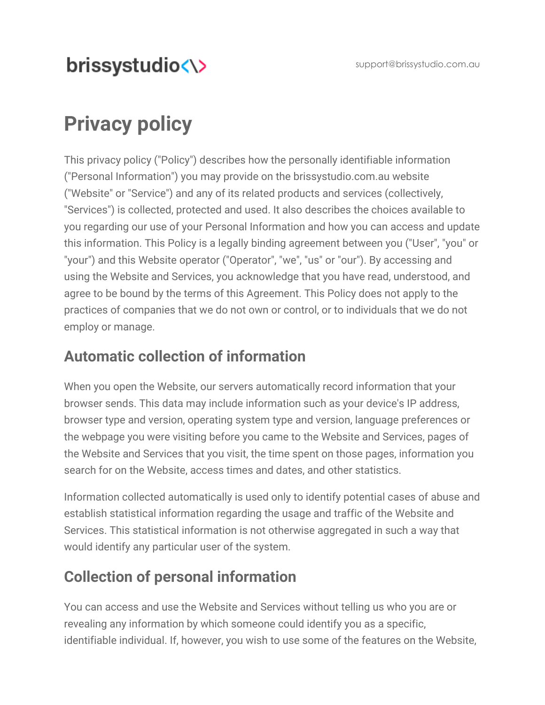# brissystudio<\>

# **Privacy policy**

This privacy policy ("Policy") describes how the personally identifiable information ("Personal Information") you may provide on the [brissystudio.com.au](http://www.brissystudio.com.au/) website ("Website" or "Service") and any of its related products and services (collectively, "Services") is collected, protected and used. It also describes the choices available to you regarding our use of your Personal Information and how you can access and update this information. This Policy is a legally binding agreement between you ("User", "you" or "your") and this Website operator ("Operator", "we", "us" or "our"). By accessing and using the Website and Services, you acknowledge that you have read, understood, and agree to be bound by the terms of this Agreement. This Policy does not apply to the practices of companies that we do not own or control, or to individuals that we do not employ or manage.

#### **Automatic collection of information**

When you open the Website, our servers automatically record information that your browser sends. This data may include information such as your device's IP address, browser type and version, operating system type and version, language preferences or the webpage you were visiting before you came to the Website and Services, pages of the Website and Services that you visit, the time spent on those pages, information you search for on the Website, access times and dates, and other statistics.

Information collected automatically is used only to identify potential cases of abuse and establish statistical information regarding the usage and traffic of the Website and Services. This statistical information is not otherwise aggregated in such a way that would identify any particular user of the system.

#### **Collection of personal information**

You can access and use the Website and Services without telling us who you are or revealing any information by which someone could identify you as a specific, identifiable individual. If, however, you wish to use some of the features on the Website,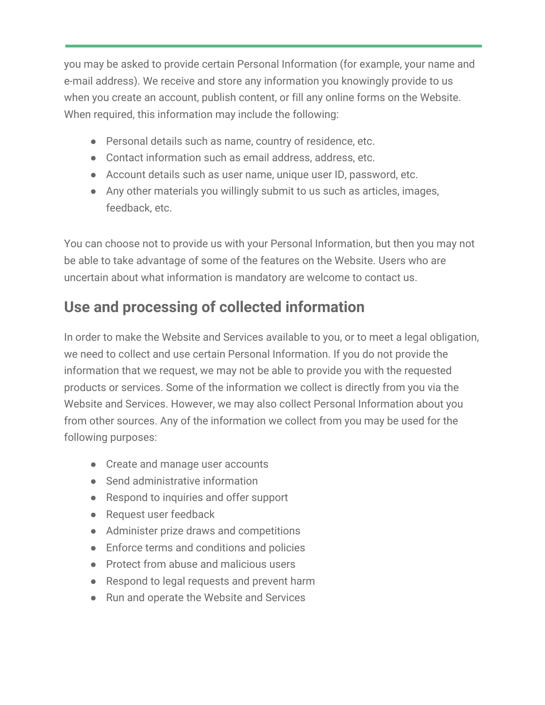you may be asked to provide certain Personal Information (for example, your name and e-mail address). We receive and store any information you knowingly provide to us when you create an account, publish content, or fill any online forms on the Website. When required, this information may include the following:

- Personal details such as name, country of residence, etc.
- Contact information such as email address, address, etc.
- Account details such as user name, unique user ID, password, etc.
- Any other materials you willingly submit to us such as articles, images, feedback, etc.

You can choose not to provide us with your Personal Information, but then you may not be able to take advantage of some of the features on the Website. Users who are uncertain about what information is mandatory are welcome to contact us.

# **Use and processing of collected information**

In order to make the Website and Services available to you, or to meet a legal obligation, we need to collect and use certain Personal Information. If you do not provide the information that we request, we may not be able to provide you with the requested products or services. Some of the information we collect is directly from you via the Website and Services. However, we may also collect Personal Information about you from other sources. Any of the information we collect from you may be used for the following purposes:

- Create and manage user accounts
- Send administrative information
- Respond to inquiries and offer support
- Request user feedback
- Administer prize draws and competitions
- Enforce terms and conditions and policies
- Protect from abuse and malicious users
- Respond to legal requests and prevent harm
- Run and operate the Website and Services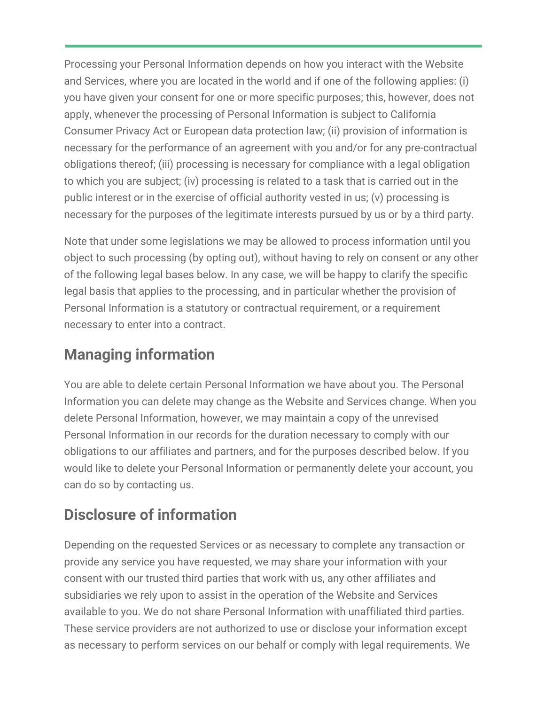Processing your Personal Information depends on how you interact with the Website and Services, where you are located in the world and if one of the following applies: (i) you have given your consent for one or more specific purposes; this, however, does not apply, whenever the processing of Personal Information is subject to California Consumer Privacy Act or European data protection law; (ii) provision of information is necessary for the performance of an agreement with you and/or for any pre-contractual obligations thereof; (iii) processing is necessary for compliance with a legal obligation to which you are subject; (iv) processing is related to a task that is carried out in the public interest or in the exercise of official authority vested in us; (v) processing is necessary for the purposes of the legitimate interests pursued by us or by a third party.

Note that under some legislations we may be allowed to process information until you object to such processing (by opting out), without having to rely on consent or any other of the following legal bases below. In any case, we will be happy to clarify the specific legal basis that applies to the processing, and in particular whether the provision of Personal Information is a statutory or contractual requirement, or a requirement necessary to enter into a contract.

# **Managing information**

You are able to delete certain Personal Information we have about you. The Personal Information you can delete may change as the Website and Services change. When you delete Personal Information, however, we may maintain a copy of the unrevised Personal Information in our records for the duration necessary to comply with our obligations to our affiliates and partners, and for the purposes described below. If you would like to delete your Personal Information or permanently delete your account, you can do so by contacting us.

# **Disclosure of information**

Depending on the requested Services or as necessary to complete any transaction or provide any service you have requested, we may share your information with your consent with our trusted third parties that work with us, any other affiliates and subsidiaries we rely upon to assist in the operation of the Website and Services available to you. We do not share Personal Information with unaffiliated third parties. These service providers are not authorized to use or disclose your information except as necessary to perform services on our behalf or comply with legal requirements. We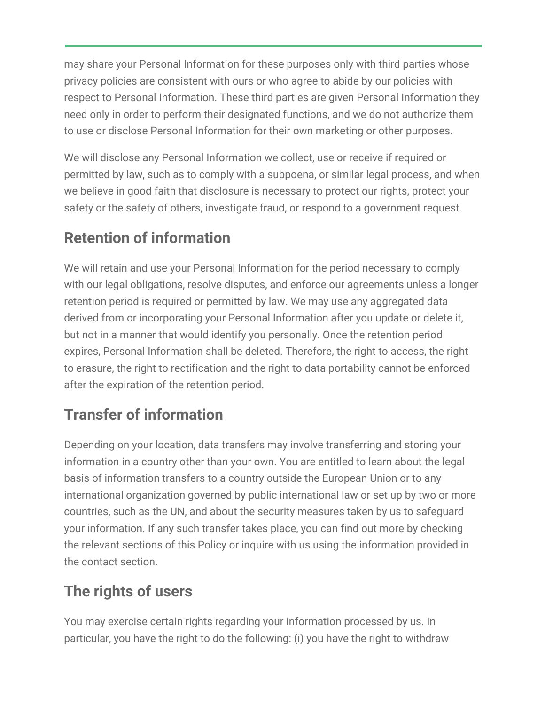may share your Personal Information for these purposes only with third parties whose privacy policies are consistent with ours or who agree to abide by our policies with respect to Personal Information. These third parties are given Personal Information they need only in order to perform their designated functions, and we do not authorize them to use or disclose Personal Information for their own marketing or other purposes.

We will disclose any Personal Information we collect, use or receive if required or permitted by law, such as to comply with a subpoena, or similar legal process, and when we believe in good faith that disclosure is necessary to protect our rights, protect your safety or the safety of others, investigate fraud, or respond to a government request.

# **Retention of information**

We will retain and use your Personal Information for the period necessary to comply with our legal obligations, resolve disputes, and enforce our agreements unless a longer retention period is required or permitted by law. We may use any aggregated data derived from or incorporating your Personal Information after you update or delete it, but not in a manner that would identify you personally. Once the retention period expires, Personal Information shall be deleted. Therefore, the right to access, the right to erasure, the right to rectification and the right to data portability cannot be enforced after the expiration of the retention period.

# **Transfer of information**

Depending on your location, data transfers may involve transferring and storing your information in a country other than your own. You are entitled to learn about the legal basis of information transfers to a country outside the European Union or to any international organization governed by public international law or set up by two or more countries, such as the UN, and about the security measures taken by us to safeguard your information. If any such transfer takes place, you can find out more by checking the relevant sections of this Policy or inquire with us using the information provided in the contact section.

# **The rights of users**

You may exercise certain rights regarding your information processed by us. In particular, you have the right to do the following: (i) you have the right to withdraw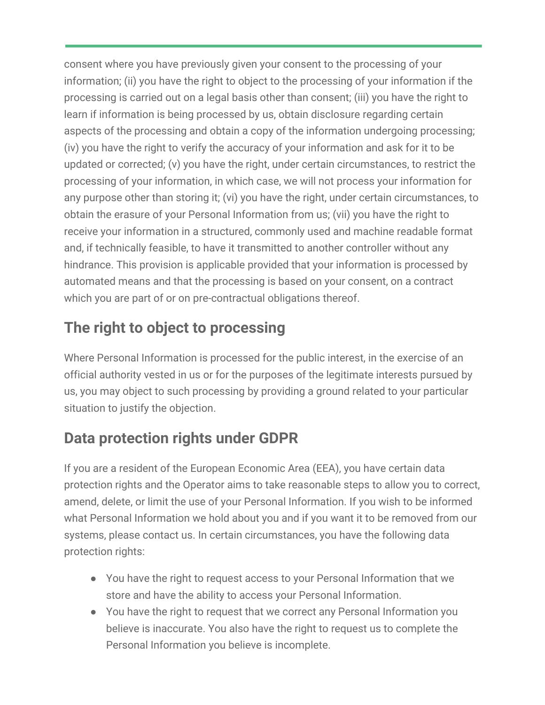consent where you have previously given your consent to the processing of your information; (ii) you have the right to object to the processing of your information if the processing is carried out on a legal basis other than consent; (iii) you have the right to learn if information is being processed by us, obtain disclosure regarding certain aspects of the processing and obtain a copy of the information undergoing processing; (iv) you have the right to verify the accuracy of your information and ask for it to be updated or corrected; (v) you have the right, under certain circumstances, to restrict the processing of your information, in which case, we will not process your information for any purpose other than storing it; (vi) you have the right, under certain circumstances, to obtain the erasure of your Personal Information from us; (vii) you have the right to receive your information in a structured, commonly used and machine readable format and, if technically feasible, to have it transmitted to another controller without any hindrance. This provision is applicable provided that your information is processed by automated means and that the processing is based on your consent, on a contract which you are part of or on pre-contractual obligations thereof.

## **The right to object to processing**

Where Personal Information is processed for the public interest, in the exercise of an official authority vested in us or for the purposes of the legitimate interests pursued by us, you may object to such processing by providing a ground related to your particular situation to justify the objection.

## **Data protection rights under GDPR**

If you are a resident of the European Economic Area (EEA), you have certain data protection rights and the Operator aims to take reasonable steps to allow you to correct, amend, delete, or limit the use of your Personal Information. If you wish to be informed what Personal Information we hold about you and if you want it to be removed from our systems, please contact us. In certain circumstances, you have the following data protection rights:

- You have the right to request access to your Personal Information that we store and have the ability to access your Personal Information.
- You have the right to request that we correct any Personal Information you believe is inaccurate. You also have the right to request us to complete the Personal Information you believe is incomplete.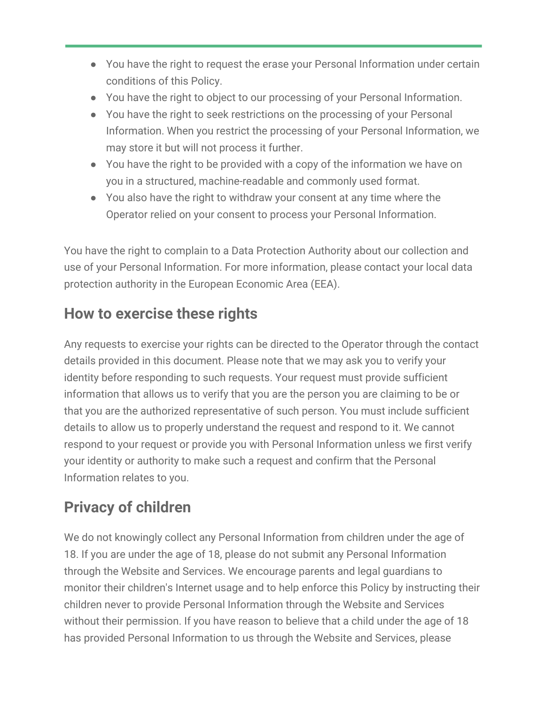- You have the right to request the erase your Personal Information under certain conditions of this Policy.
- You have the right to object to our processing of your Personal Information.
- You have the right to seek restrictions on the processing of your Personal Information. When you restrict the processing of your Personal Information, we may store it but will not process it further.
- You have the right to be provided with a copy of the information we have on you in a structured, machine-readable and commonly used format.
- You also have the right to withdraw your consent at any time where the Operator relied on your consent to process your Personal Information.

You have the right to complain to a Data Protection Authority about our collection and use of your Personal Information. For more information, please contact your local data protection authority in the European Economic Area (EEA).

#### **How to exercise these rights**

Any requests to exercise your rights can be directed to the Operator through the contact details provided in this document. Please note that we may ask you to verify your identity before responding to such requests. Your request must provide sufficient information that allows us to verify that you are the person you are claiming to be or that you are the authorized representative of such person. You must include sufficient details to allow us to properly understand the request and respond to it. We cannot respond to your request or provide you with Personal Information unless we first verify your identity or authority to make such a request and confirm that the Personal Information relates to you.

# **Privacy of children**

We do not knowingly collect any Personal Information from children under the age of 18. If you are under the age of 18, please do not submit any Personal Information through the Website and Services. We encourage parents and legal guardians to monitor their children's Internet usage and to help enforce this Policy by instructing their children never to provide Personal Information through the Website and Services without their permission. If you have reason to believe that a child under the age of 18 has provided Personal Information to us through the Website and Services, please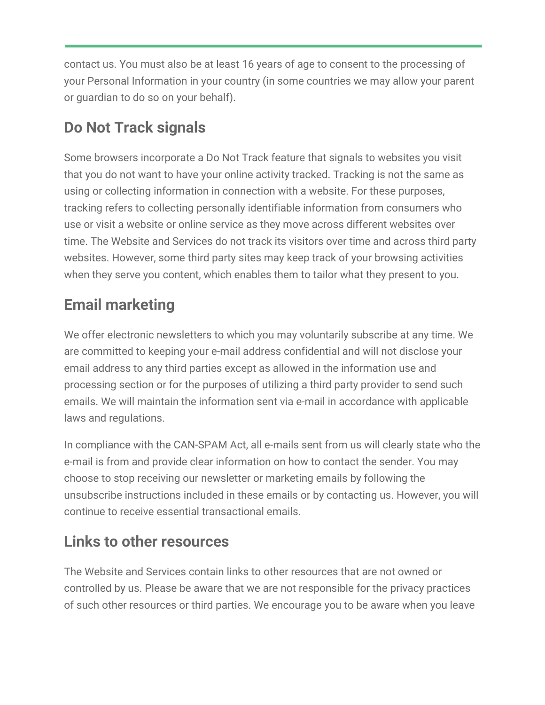contact us. You must also be at least 16 years of age to consent to the processing of your Personal Information in your country (in some countries we may allow your parent or guardian to do so on your behalf).

# **Do Not Track signals**

Some browsers incorporate a Do Not Track feature that signals to websites you visit that you do not want to have your online activity tracked. Tracking is not the same as using or collecting information in connection with a website. For these purposes, tracking refers to collecting personally identifiable information from consumers who use or visit a website or online service as they move across different websites over time. The Website and Services do not track its visitors over time and across third party websites. However, some third party sites may keep track of your browsing activities when they serve you content, which enables them to tailor what they present to you.

# **Email marketing**

We offer electronic newsletters to which you may voluntarily subscribe at any time. We are committed to keeping your e-mail address confidential and will not disclose your email address to any third parties except as allowed in the information use and processing section or for the purposes of utilizing a third party provider to send such emails. We will maintain the information sent via e-mail in accordance with applicable laws and regulations.

In compliance with the CAN-SPAM Act, all e-mails sent from us will clearly state who the e-mail is from and provide clear information on how to contact the sender. You may choose to stop receiving our newsletter or marketing emails by following the unsubscribe instructions included in these emails or by contacting us. However, you will continue to receive essential transactional emails.

## **Links to other resources**

The Website and Services contain links to other resources that are not owned or controlled by us. Please be aware that we are not responsible for the privacy practices of such other resources or third parties. We encourage you to be aware when you leave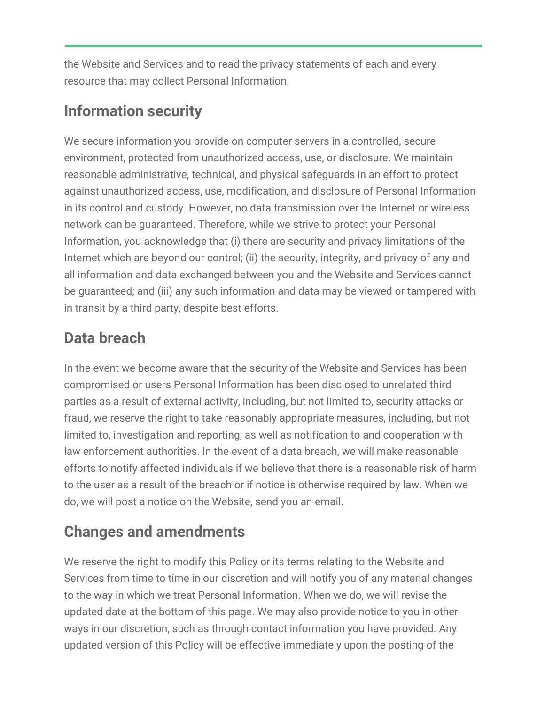the Website and Services and to read the privacy statements of each and every resource that may collect Personal Information.

### **Information security**

We secure information you provide on computer servers in a controlled, secure environment, protected from unauthorized access, use, or disclosure. We maintain reasonable administrative, technical, and physical safeguards in an effort to protect against unauthorized access, use, modification, and disclosure of Personal Information in its control and custody. However, no data transmission over the Internet or wireless network can be guaranteed. Therefore, while we strive to protect your Personal Information, you acknowledge that (i) there are security and privacy limitations of the Internet which are beyond our control; (ii) the security, integrity, and privacy of any and all information and data exchanged between you and the Website and Services cannot be guaranteed; and (iii) any such information and data may be viewed or tampered with in transit by a third party, despite best efforts.

## **Data breach**

In the event we become aware that the security of the Website and Services has been compromised or users Personal Information has been disclosed to unrelated third parties as a result of external activity, including, but not limited to, security attacks or fraud, we reserve the right to take reasonably appropriate measures, including, but not limited to, investigation and reporting, as well as notification to and cooperation with law enforcement authorities. In the event of a data breach, we will make reasonable efforts to notify affected individuals if we believe that there is a reasonable risk of harm to the user as a result of the breach or if notice is otherwise required by law. When we do, we will post a notice on the Website, send you an email.

# **Changes and amendments**

We reserve the right to modify this Policy or its terms relating to the Website and Services from time to time in our discretion and will notify you of any material changes to the way in which we treat Personal Information. When we do, we will revise the updated date at the bottom of this page. We may also provide notice to you in other ways in our discretion, such as through contact information you have provided. Any updated version of this Policy will be effective immediately upon the posting of the